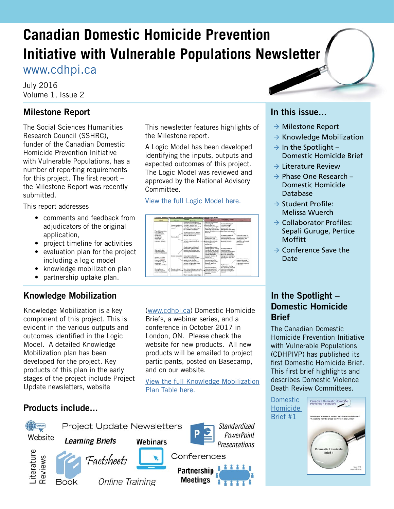## **Canadian Domestic Homicide Prevention Initiative with Vulnerable Populations Newsletter**

[www.cdhpi.ca](http://www.cdhpi.ca)

July 2016 Volume 1, Issue 2

## **Milestone Report**

The Social Sciences Humanities Research Council (SSHRC), funder of the Canadian Domestic Homicide Prevention Initiative with Vulnerable Populations, has a number of reporting requirements for this project. The first report – the Milestone Report was recently submitted.

This report addresses

- comments and feedback from adjudicators of the original application,
- project timeline for activities
- evaluation plan for the project including a logic model
- knowledge mobilization plan
- partnership uptake plan.

## **Knowledge Mobilization**

Knowledge Mobilization is a key component of this project. This is evident in the various outputs and outcomes identified in the Logic Model. A detailed Knowledge Mobilization plan has been developed for the project. Key products of this plan in the early stages of the project include Project Update newsletters, website

## **Products include...**



This newsletter features highlights of the Milestone report.

A Logic Model has been developed identifying the inputs, outputs and expected outcomes of this project. The Logic Model was reviewed and approved by the National Advisory Committee.

### [View the full Logic Model here.](http://cdhpi.ca/sites/cdhpi.ca/files/CDHPIVP-SSHRC_Logic-Model.pdf)



([www.cdhpi.ca\)](http://www.cdhpi.ca) Domestic Homicide Briefs, a webinar series, and a conference in October 2017 in London, ON. Please check the website for new products. All new products will be emailed to project participants, posted on Basecamp, and on our website.

[View the full Knowledge Mobilization](http://cdhpi.ca/sites/cdhpi.ca/files/CDHPIVP_PROJECT_TIMELINE%20final.pdf)  [Plan Table here.](http://cdhpi.ca/sites/cdhpi.ca/files/CDHPIVP_PROJECT_TIMELINE%20final.pdf)

## **In this issue...**

- $\rightarrow$  Milestone Report
- $\rightarrow$  Knowledge Mobilization
- $\rightarrow$  In the Spotlight Domestic Homicide Brief
- $\rightarrow$  Literature Review
- $\rightarrow$  Phase One Research Domestic Homicide Database
- $\rightarrow$  Student Profile: Melissa Wuerch
- $\rightarrow$  Collaborator Profiles: Sepali Guruge, Pertice Moffitt
- $\rightarrow$  Conference Save the Date

## **In the Spotlight – Domestic Homicide Brief**

The Canadian Domestic Homicide Prevention Initiative with Vulnerable Populations (CDHPIVP) has published its first Domestic Homicide Brief. This first brief highlights and describes Domestic Violence Death Review Committees.

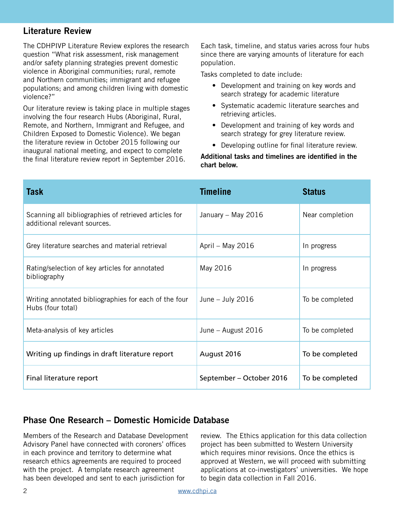## **Literature Review**

The CDHPIVP Literature Review explores the research question "What risk assessment, risk management and/or safety planning strategies prevent domestic violence in Aboriginal communities; rural, remote and Northern communities; immigrant and refugee populations; and among children living with domestic violence?"

Our literature review is taking place in multiple stages involving the four research Hubs (Aboriginal, Rural, Remote, and Northern, Immigrant and Refugee, and Children Exposed to Domestic Violence). We began the literature review in October 2015 following our inaugural national meeting, and expect to complete the final literature review report in September 2016.

Each task, timeline, and status varies across four hubs since there are varying amounts of literature for each population.

Tasks completed to date include:

- Development and training on key words and search strategy for academic literature
- Systematic academic literature searches and retrieving articles.
- Development and training of key words and search strategy for grey literature review.
- Developing outline for final literature review.

#### **Additional tasks and timelines are identified in the chart below.**

| <b>Task</b>                                                                           | <b>Timeline</b>          | <b>Status</b>   |
|---------------------------------------------------------------------------------------|--------------------------|-----------------|
| Scanning all bibliographies of retrieved articles for<br>additional relevant sources. | January - May 2016       | Near completion |
| Grey literature searches and material retrieval                                       | April – May 2016         | In progress     |
| Rating/selection of key articles for annotated<br>bibliography                        | May 2016                 | In progress     |
| Writing annotated bibliographies for each of the four<br>Hubs (four total)            | June $-$ July 2016       | To be completed |
| Meta-analysis of key articles                                                         | June – August 2016       | To be completed |
| Writing up findings in draft literature report                                        | August 2016              | To be completed |
| Final literature report                                                               | September – October 2016 | To be completed |

## **Phase One Research – Domestic Homicide Database**

Members of the Research and Database Development Advisory Panel have connected with coroners' offices in each province and territory to determine what research ethics agreements are required to proceed with the project. A template research agreement has been developed and sent to each jurisdiction for

review. The Ethics application for this data collection project has been submitted to Western University which requires minor revisions. Once the ethics is approved at Western, we will proceed with submitting applications at co-investigators' universities. We hope to begin data collection in Fall 2016.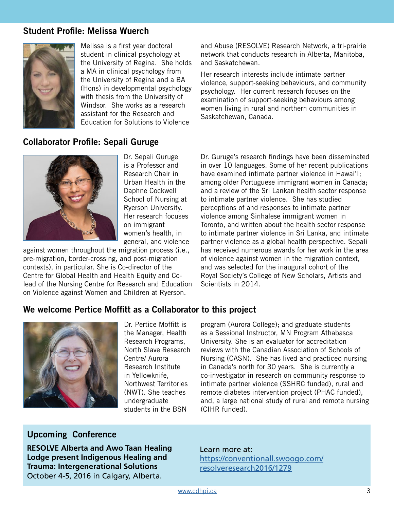## **Student Profile: Melissa Wuerch**



Melissa is a first year doctoral student in clinical psychology at the University of Regina. She holds a MA in clinical psychology from the University of Regina and a BA (Hons) in developmental psychology with thesis from the University of Windsor. She works as a research assistant for the Research and Education for Solutions to Violence

and Abuse (RESOLVE) Research Network, a tri-prairie network that conducts research in Alberta, Manitoba, and Saskatchewan.

Her research interests include intimate partner violence, support-seeking behaviours, and community psychology. Her current research focuses on the examination of support-seeking behaviours among women living in rural and northern communities in Saskatchewan, Canada.

## **Collaborator Profile: Sepali Guruge**



Dr. Sepali Guruge is a Professor and Research Chair in Urban Health in the Daphne Cockwell School of Nursing at Ryerson University. Her research focuses on immigrant women's health, in general, and violence

against women throughout the migration process (i.e., pre-migration, border-crossing, and post-migration contexts), in particular. She is Co-director of the Centre for Global Health and Health Equity and Colead of the Nursing Centre for Research and Education on Violence against Women and Children at Ryerson.

Dr. Guruge's research findings have been disseminated in over 10 languages. Some of her recent publications have examined intimate partner violence in Hawai'I; among older Portuguese immigrant women in Canada; and a review of the Sri Lankan health sector response to intimate partner violence. She has studied perceptions of and responses to intimate partner violence among Sinhalese immigrant women in Toronto, and written about the health sector response to intimate partner violence in Sri Lanka, and intimate partner violence as a global health perspective. Sepali has received numerous awards for her work in the area of violence against women in the migration context, and was selected for the inaugural cohort of the Royal Society's College of New Scholars, Artists and Scientists in 2014.

## **We welcome Pertice Moffitt as a Collaborator to this project**



Dr. Pertice Moffitt is the Manager, Health Research Programs, North Slave Research Centre/ Aurora Research Institute in Yellowknife, Northwest Territories (NWT). She teaches undergraduate students in the BSN

program (Aurora College); and graduate students as a Sessional Instructor, MN Program Athabasca University. She is an evaluator for accreditation reviews with the Canadian Association of Schools of Nursing (CASN). She has lived and practiced nursing in Canada's north for 30 years. She is currently a co-investigator in research on community response to intimate partner violence (SSHRC funded), rural and remote diabetes intervention project (PHAC funded), and, a large national study of rural and remote nursing (CIHR funded).

## **Upcoming Conference**

**RESOLVE Alberta and Awo Taan Healing Lodge present Indigenous Healing and Trauma: Intergenerational Solutions**  October 4-5, 2016 in Calgary, Alberta.

#### Learn more at:

[https://conventionall.swoogo.com/](https://conventionall.swoogo.com/resolveresearch2016/1279) [resolveresearch2016/1279](https://conventionall.swoogo.com/resolveresearch2016/1279)